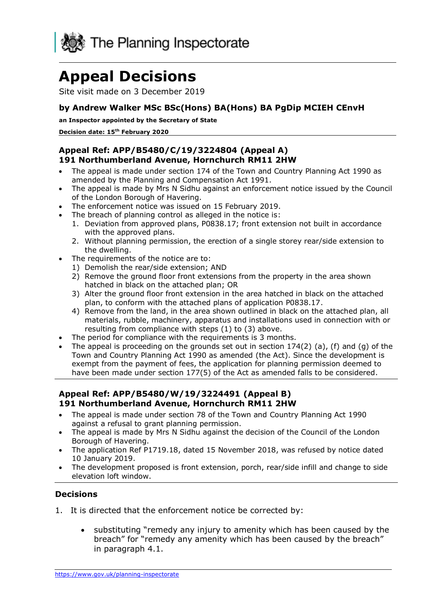

# **Appeal Decisions**

Site visit made on 3 December 2019

## **by Andrew Walker MSc BSc(Hons) BA(Hons) BA PgDip MCIEH CEnvH**

**an Inspector appointed by the Secretary of State** 

**Decision date: 15th February 2020** 

#### **Appeal Ref: APP/B5480/C/19/3224804 (Appeal A) 191 Northumberland Avenue, Hornchurch RM11 2HW**

- • The appeal is made under section 174 of the Town and Country Planning Act 1990 as amended by the Planning and Compensation Act 1991.
- • The appeal is made by Mrs N Sidhu against an enforcement notice issued by the Council of the London Borough of Havering.
- The enforcement notice was issued on 15 February 2019.
- • The breach of planning control as alleged in the notice is:
	- 1. Deviation from approved plans, P0838.17; front extension not built in accordance with the approved plans.
	- 2. Without planning permission, the erection of a single storey rear/side extension to the dwelling.
- • The requirements of the notice are to:
	- 1) Demolish the rear/side extension; AND
	- 2) Remove the ground floor front extensions from the property in the area shown hatched in black on the attached plan; OR
	- 3) Alter the ground floor front extension in the area hatched in black on the attached plan, to conform with the attached plans of application P0838.17.
	- 4) Remove from the land, in the area shown outlined in black on the attached plan, all materials, rubble, machinery, apparatus and installations used in connection with or resulting from compliance with steps (1) to (3) above.
- The period for compliance with the requirements is 3 months.
- The appeal is proceeding on the grounds set out in section  $174(2)$  (a), (f) and (g) of the Town and Country Planning Act 1990 as amended (the Act). Since the development is exempt from the payment of fees, the application for planning permission deemed to have been made under section 177(5) of the Act as amended falls to be considered.

#### **Appeal Ref: APP/B5480/W/19/3224491 (Appeal B) 191 Northumberland Avenue, Hornchurch RM11 2HW**

- • The appeal is made under section 78 of the Town and Country Planning Act 1990 against a refusal to grant planning permission.
- • The appeal is made by Mrs N Sidhu against the decision of the Council of the London Borough of Havering.
- • The application Ref P1719.18, dated 15 November 2018, was refused by notice dated 10 January 2019.
- • The development proposed is front extension, porch, rear/side infill and change to side elevation loft window.

### **Decisions**

- 1. It is directed that the enforcement notice be corrected by:
	- • substituting "remedy any injury to amenity which has been caused by the breach" for "remedy any amenity which has been caused by the breach" in paragraph 4.1.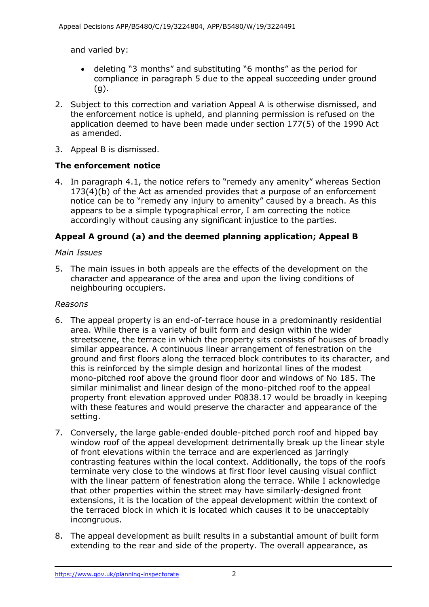and varied by:

- • deleting "3 months" and substituting "6 months" as the period for compliance in paragraph 5 due to the appeal succeeding under ground (g).
- 2. Subject to this correction and variation Appeal A is otherwise dismissed, and the enforcement notice is upheld, and planning permission is refused on the application deemed to have been made under section 177(5) of the 1990 Act as amended.
- 3. Appeal B is dismissed.

## **The enforcement notice**

 4. In paragraph 4.1, the notice refers to "remedy any amenity" whereas Section 173(4)(b) of the Act as amended provides that a purpose of an enforcement notice can be to "remedy any injury to amenity" caused by a breach. As this appears to be a simple typographical error, I am correcting the notice accordingly without causing any significant injustice to the parties.

## **Appeal A ground (a) and the deemed planning application; Appeal B**

#### *Main Issues*

 5. The main issues in both appeals are the effects of the development on the character and appearance of the area and upon the living conditions of neighbouring occupiers.

#### *Reasons*

- 6. The appeal property is an end-of-terrace house in a predominantly residential area. While there is a variety of built form and design within the wider streetscene, the terrace in which the property sits consists of houses of broadly ground and first floors along the terraced block contributes to its character, and this is reinforced by the simple design and horizontal lines of the modest mono-pitched roof above the ground floor door and windows of No 185. The similar minimalist and linear design of the mono-pitched roof to the appeal property front elevation approved under P0838.17 would be broadly in keeping with these features and would preserve the character and appearance of the similar appearance. A continuous linear arrangement of fenestration on the setting.
- 7. Conversely, the large gable-ended double-pitched porch roof and hipped bay window roof of the appeal development detrimentally break up the linear style of front elevations within the terrace and are experienced as jarringly contrasting features within the local context. Additionally, the tops of the roofs terminate very close to the windows at first floor level causing visual conflict with the linear pattern of fenestration along the terrace. While I acknowledge that other properties within the street may have similarly-designed front extensions, it is the location of the appeal development within the context of the terraced block in which it is located which causes it to be unacceptably incongruous.
- extending to the rear and side of the property. The overall appearance, as 8. The appeal development as built results in a substantial amount of built form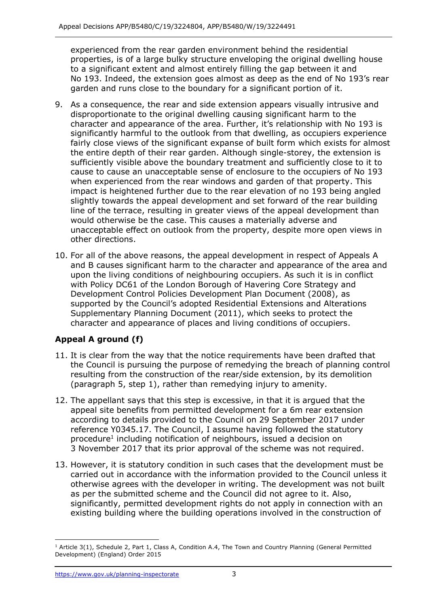experienced from the rear garden environment behind the residential properties, is of a large bulky structure enveloping the original dwelling house to a significant extent and almost entirely filling the gap between it and No 193. Indeed, the extension goes almost as deep as the end of No 193's rear garden and runs close to the boundary for a significant portion of it.

- 9. As a consequence, the rear and side extension appears visually intrusive and disproportionate to the original dwelling causing significant harm to the character and appearance of the area. Further, it's relationship with No 193 is significantly harmful to the outlook from that dwelling, as occupiers experience fairly close views of the significant expanse of built form which exists for almost the entire depth of their rear garden. Although single-storey, the extension is sufficiently visible above the boundary treatment and sufficiently close to it to cause to cause an unacceptable sense of enclosure to the occupiers of No 193 when experienced from the rear windows and garden of that property. This impact is heightened further due to the rear elevation of no 193 being angled slightly towards the appeal development and set forward of the rear building line of the terrace, resulting in greater views of the appeal development than would otherwise be the case. This causes a materially adverse and unacceptable effect on outlook from the property, despite more open views in other directions.
- 10. For all of the above reasons, the appeal development in respect of Appeals A and B causes significant harm to the character and appearance of the area and upon the living conditions of neighbouring occupiers. As such it is in conflict with Policy DC61 of the London Borough of Havering Core Strategy and Development Control Policies Development Plan Document (2008), as supported by the Council's adopted Residential Extensions and Alterations Supplementary Planning Document (2011), which seeks to protect the character and appearance of places and living conditions of occupiers.

# **Appeal A ground (f)**

- 11. It is clear from the way that the notice requirements have been drafted that the Council is pursuing the purpose of remedying the breach of planning control resulting from the construction of the rear/side extension, by its demolition (paragraph 5, step 1), rather than remedying injury to amenity.
- 12. The appellant says that this step is excessive, in that it is argued that the appeal site benefits from permitted development for a 6m rear extension according to details provided to the Council on 29 September 2017 under reference Y0345.17. The Council, I assume having followed the statutory procedure<sup>1</sup> including notification of neighbours, issued a decision on 3 November 2017 that its prior approval of the scheme was not required.
- 13. However, it is statutory condition in such cases that the development must be carried out in accordance with the information provided to the Council unless it otherwise agrees with the developer in writing. The development was not built as per the submitted scheme and the Council did not agree to it. Also, existing building where the building operations involved in the construction of significantly, permitted development rights do not apply in connection with an

 $<sup>1</sup>$  Article 3(1), Schedule 2, Part 1, Class A, Condition A.4, The Town and Country Planning (General Permitted</sup> Development) (England) Order 2015